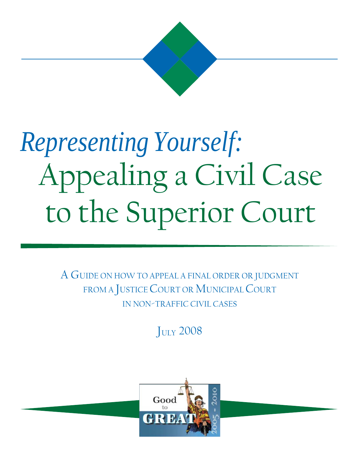

# *Representing Yourself:* Appealing a Civil Case to the Superior Court

A GUIDE ON HOW TO APPEAL A FINAL ORDER OR JUDGMENT FROM A JUSTICE COURT OR MUNICIPAL COURT IN NON-TRAFFIC CIVIL CASES

**JULY 2008** 

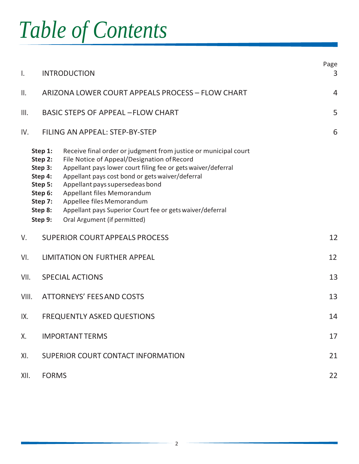# *Table of Contents*

| $\mathsf{L}$  |                                                                                                 | <b>INTRODUCTION</b>                                                                                                                                                                                                                                                                                                                                                                                                            | Page<br>3      |
|---------------|-------------------------------------------------------------------------------------------------|--------------------------------------------------------------------------------------------------------------------------------------------------------------------------------------------------------------------------------------------------------------------------------------------------------------------------------------------------------------------------------------------------------------------------------|----------------|
| $\parallel$ . |                                                                                                 | ARIZONA LOWER COURT APPEALS PROCESS - FLOW CHART                                                                                                                                                                                                                                                                                                                                                                               | $\overline{4}$ |
| III.          |                                                                                                 | <b>BASIC STEPS OF APPEAL - FLOW CHART</b>                                                                                                                                                                                                                                                                                                                                                                                      | 5              |
| IV.           |                                                                                                 | FILING AN APPEAL: STEP-BY-STEP                                                                                                                                                                                                                                                                                                                                                                                                 | 6              |
|               | Step 1:<br>Step 2:<br>Step 3:<br>Step 4:<br>Step 5:<br>Step 6:<br>Step 7:<br>Step 8:<br>Step 9: | Receive final order or judgment from justice or municipal court<br>File Notice of Appeal/Designation of Record<br>Appellant pays lower court filing fee or gets waiver/deferral<br>Appellant pays cost bond or gets waiver/deferral<br>Appellant pays supersedeas bond<br>Appellant files Memorandum<br>Appellee files Memorandum<br>Appellant pays Superior Court fee or gets waiver/deferral<br>Oral Argument (if permitted) |                |
| V.            |                                                                                                 | <b>SUPERIOR COURTAPPEALS PROCESS</b>                                                                                                                                                                                                                                                                                                                                                                                           | 12             |
| VI.           |                                                                                                 | LIMITATION ON FURTHER APPEAL                                                                                                                                                                                                                                                                                                                                                                                                   | 12             |
| VII.          |                                                                                                 | <b>SPECIAL ACTIONS</b>                                                                                                                                                                                                                                                                                                                                                                                                         | 13             |
| VIII.         |                                                                                                 | <b>ATTORNEYS' FEES AND COSTS</b>                                                                                                                                                                                                                                                                                                                                                                                               | 13             |
| IX.           |                                                                                                 | <b>FREQUENTLY ASKED QUESTIONS</b>                                                                                                                                                                                                                                                                                                                                                                                              | 14             |
| Χ.            |                                                                                                 | <b>IMPORTANT TERMS</b>                                                                                                                                                                                                                                                                                                                                                                                                         | 17             |
| XI.           |                                                                                                 | SUPERIOR COURT CONTACT INFORMATION                                                                                                                                                                                                                                                                                                                                                                                             | 21             |
| XII.          | <b>FORMS</b>                                                                                    |                                                                                                                                                                                                                                                                                                                                                                                                                                | 22             |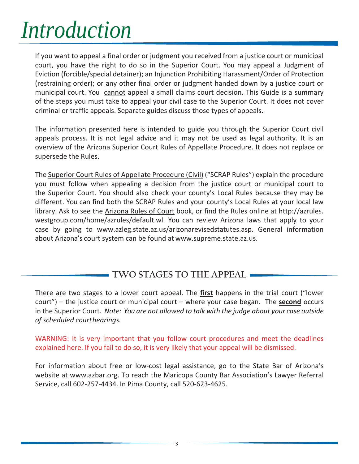# *Introduction*

If you want to appeal a final order or judgment you received from a justice court or municipal court, you have the right to do so in the Superior Court. You may appeal a Judgment of Eviction (forcible/special detainer); an Injunction Prohibiting Harassment/Order of Protection (restraining order); or any other final order or judgment handed down by a justice court or municipal court. You cannot appeal a small claims court decision. This Guide is a summary of the steps you must take to appeal your civil case to the Superior Court. It does not cover criminal or traffic appeals. Separate guides discuss those types of appeals.

The information presented here is intended to guide you through the Superior Court civil appeals process. It is not legal advice and it may not be used as legal authority. It is an overview of the Arizona Superior Court Rules of Appellate Procedure. It does not replace or supersede the Rules.

The Superior Court Rules of Appellate Procedure (Civil) ("SCRAP Rules") explain the procedure you must follow when appealing a decision from the justice court or municipal court to the Superior Court. You should also check your county's Local Rules because they may be different. You can find both the SCRAP Rules and your county's Local Rules at your local law library. Ask to see the Arizona Rules of Court book, or find the Rules online at [http://azrules.](http://azrules/) westgroup.com/home/azrules/default.wl. You can review Arizona laws that apply to your case by going to [www.azleg.state.az.us/arizonarevisedstatutes.asp.](http://www.azleg.state.az.us/arizonarevisedstatutes.asp) General information about Arizona's court system can be found at [www.supreme.state.az.us.](http://www.supreme.state.az.us/)

## **TWO STAGES TO THE APPEAL**

There are two stages to a lower court appeal. The **first** happens in the trial court ("lower court") – the justice court or municipal court – where your case began. The **second** occurs in the Superior Court. *Note: You are not allowed to talk with the judge about your case outside of scheduled courthearings.*

WARNING: It is very important that you follow court procedures and meet the deadlines explained here. If you fail to do so, it is very likely that your appeal will be dismissed.

For information about free or low-cost legal assistance, go to the State Bar of Arizona's website at [www.azbar.org.](http://www.azbar.org/) To reach the Maricopa County Bar Association's Lawyer Referral Service, call 602-257-4434. In Pima County, call 520-623-4625.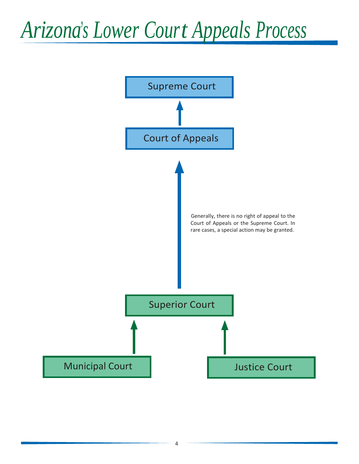# *Arizona's Lower Court Appeals Process*

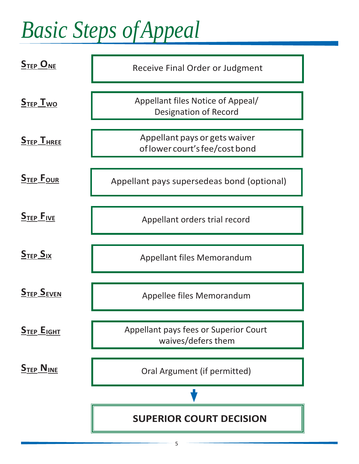# *Basic Steps ofAppeal*

| $S_{\text{TEP}}$ O <sub>NE</sub>  | <b>Receive Final Order or Judgment</b>                            |
|-----------------------------------|-------------------------------------------------------------------|
| S <sub>TFP</sub> I <sub>wo</sub>  | Appellant files Notice of Appeal/<br><b>Designation of Record</b> |
| $STEP$ $THREE$                    | Appellant pays or gets waiver<br>of lower court's fee/cost bond   |
| <b>STEP FOUR</b>                  | Appellant pays supersedeas bond (optional)                        |
| $STEP$ $FIVE$                     | Appellant orders trial record                                     |
| S <sub>TFP</sub> S <sub>IX</sub>  | Appellant files Memorandum                                        |
| <b>STEP SEVEN</b>                 | Appellee files Memorandum                                         |
| $S$ TEP $E$ IGHT                  | Appellant pays fees or Superior Court<br>waives/defers them       |
| S <sub>TEP</sub> N <sub>INE</sub> | Oral Argument (if permitted)                                      |
|                                   |                                                                   |
|                                   | <b>SUPERIOR COURT DECISION</b>                                    |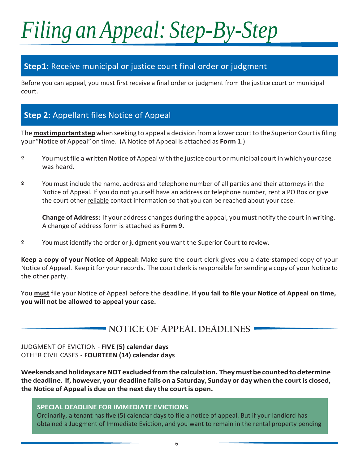# *Filing an Appeal: Step-By-Step*

### **Step1:** Receive municipal or justice court final order or judgment

Before you can appeal, you must first receive a final order or judgment from the justice court or municipal court.

## **Step 2:** Appellant files Notice of Appeal

The **most important step** when seeking to appeal a decision from a lower court to the Superior Court is filing your "Notice of Appeal"on time. (A Notice of Appeal is attached as **Form 1**.)

- º Youmustfile a writtenNotice of Appeal with the justice court or municipal courtin which your case was heard.
- º You must include the name, address and telephone number of all parties and their attorneys in the Notice of Appeal. If you do not yourself have an address or telephone number, rent a PO Box or give the court other reliable contact information so that you can be reached about your case.

**Change of Address:** If your address changes during the appeal, you must notify the court in writing. A change of address form is attached as **Form 9.**

º You must identify the order or judgment you want the Superior Court to review.

**Keep a copy of your Notice of Appeal:** Make sure the court clerk gives you a date-stamped copy of your Notice of Appeal. Keep it for your records. The court clerk is responsible for sending a copy of your Notice to the other party.

You **must** file your Notice of Appeal before the deadline. **If you fail to file your Notice of Appeal on time, you will not be allowed to appeal your case.**

## **NOTICE OF APPEAL DEADLINES**

JUDGMENT OF EVICTION - **FIVE (5) calendar days** OTHER CIVIL CASES - **FOURTEEN (14) calendar days**

**Weekendsandholidays areNOT excludedfrom the calculation. Theymustbe countedto determine the deadline. If, however, your deadline falls on a Saturday, Sunday or day when the courtis closed, the Notice of Appeal is due on the next day the court is open.**

**SPECIAL DEADLINE FOR IMMEDIATE EVICTIONS**

Ordinarily, a tenant has five (5) calendar days to file a notice of appeal. But if your landlord has obtained a Judgment of Immediate Eviction, and you want to remain in the rental property pending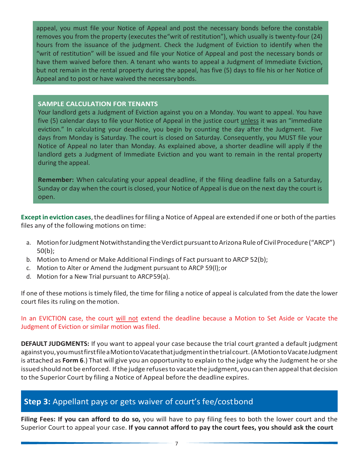appeal, you must file your Notice of Appeal and post the necessary bonds before the constable removes you from the property (executes the"writ of restitution"), which usually is twenty-four (24) hours from the issuance of the judgment. Check the Judgment of Eviction to identify when the "writ of restitution" will be issued and file your Notice of Appeal and post the necessary bonds or have them waived before then. A tenant who wants to appeal a Judgment of Immediate Eviction, but not remain in the rental property during the appeal, has five (5) days to file his or her Notice of Appeal and to post or have waived the necessarybonds.

#### **SAMPLE CALCULATION FOR TENANTS**

Your landlord gets a Judgment of Eviction against you on a Monday. You want to appeal. You have five (5) calendar days to file your Notice of Appeal in the justice court unless it was an "immediate eviction." In calculating your deadline, you begin by counting the day after the Judgment. Five days from Monday is Saturday. The court is closed on Saturday. Consequently, you MUST file your Notice of Appeal no later than Monday. As explained above, a shorter deadline will apply if the landlord gets a Judgment of Immediate Eviction and you want to remain in the rental property during the appeal.

**Remember:** When calculating your appeal deadline, if the filing deadline falls on a Saturday, Sunday or day when the court is closed, your Notice of Appeal is due on the next day the court is open.

**Except in eviction cases**, the deadlines for filing a Notice of Appeal are extended if one or both of the parties files any of the following motions on time:

- a. Motion for Judgment Notwithstanding the Verdict pursuant to Arizona Rule of Civil Procedure ("ARCP") 50(b);
- b. Motion to Amend or Make Additional Findings of Fact pursuant to ARCP 52(b);
- c. Motion to Alter or Amend the Judgment pursuant to ARCP 59(l);or
- d. Motion for a New Trial pursuant to ARCP59(a).

If one of these motions is timely filed, the time for filing a notice of appeal is calculated from the date the lower court files its ruling on themotion.

In an EVICTION case, the court will not extend the deadline because a Motion to Set Aside or Vacate the Judgment of Eviction or similar motion was filed.

**DEFAULT JUDGMENTS:** If you want to appeal your case because the trial court granted a default judgment againstyou,youmustfirstfileaMotiontoVacatethatjudgmentinthetrialcourt. (AMotiontoVacateJudgment is attached as **Form 6**.) That will give you an opportunity to explain to the judge why the Judgment he orshe issued should not be enforced. If the judge refuses to vacate the judgment, you can then appeal that decision to the Superior Court by filing a Notice of Appeal before the deadline expires.

### **Step 3:** Appellant pays or gets waiver of court's fee/costbond

**Filing Fees: If you can afford to do so,** you will have to pay filing fees to both the lower court and the Superior Court to appeal your case. **If you cannot afford to pay the court fees, you should ask the court**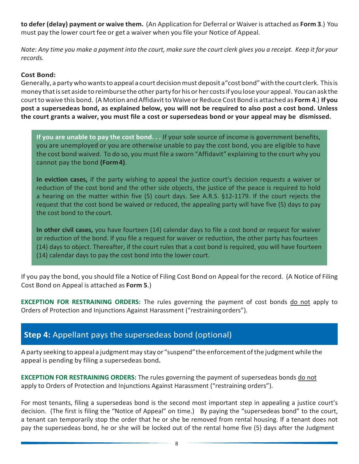**to defer (delay) payment or waive them.** (An Application for Deferral or Waiveris attached as **Form 3**.) You must pay the lower court fee or get a waiver when you file your Notice of Appeal.

Note: Any time you make a payment into the court, make sure the court clerk gives you a receipt. Keep it for your *records.*

#### **Cost Bond:**

Generally, a partywhowantsto appeal a court decisionmust deposit a"costbond"withthe court clerk. Thisis money thatisset aside toreimburse the other party for his or her costsif youlose your appeal. Youcanaskthe courtto waive this bond. (A Motion and AffidavittoWaive or Reduce Cost Bond is attached as **Form 4**.) **If you post a supersedeas bond, as explained below, you will not be required to also post a cost bond. Unless the court grants a waiver, you must file a cost or supersedeas bond or your appeal may be dismissed.**

**If you are unable to pay the cost bond. . .** If your sole source of income is government benefits, you are unemployed or you are otherwise unable to pay the cost bond, you are eligible to have the cost bond waived. To do so, you must file a sworn "Affidavit" explaining to the court why you cannot pay the bond **(Form4)**.

**In eviction cases,** if the party wishing to appeal the justice court's decision requests a waiver or reduction of the cost bond and the other side objects, the justice of the peace is required to hold a hearing on the matter within five (5) court days. See A.R.S. §12-1179. If the court rejects the request that the cost bond be waived or reduced, the appealing party will have five (5) days to pay the cost bond to the court.

**In other civil cases,** you have fourteen (14) calendar days to file a cost bond or request for waiver or reduction of the bond. If you file a request for waiver or reduction, the other party has fourteen (14) days to object. Thereafter, if the court rules that a cost bond is required, you will have fourteen (14) calendar days to pay the cost bond into the lower court.

If you pay the bond, you should file a Notice of Filing Cost Bond on Appeal for the record. (A Notice of Filing Cost Bond on Appeal is attached as **Form 5**.)

**EXCEPTION FOR RESTRAINING ORDERS:** The rules governing the payment of cost bonds do not apply to Orders of Protection and Injunctions Against Harassment ("restrainingorders").

### **Step 4:** Appellant pays the supersedeas bond (optional)

A party seeking to appeal a judgment may stay or "suspend" the enforcement of the judgment while the appeal is pending by filing a supersedeas bond**.**

**EXCEPTION FOR RESTRAINING ORDERS:** The rules governing the payment of supersedeas bonds do not apply to Orders of Protection and Injunctions Against Harassment ("restraining orders").

For most tenants, filing a supersedeas bond is the second most important step in appealing a justice court's decision. (The first is filing the "Notice of Appeal" on time.) By paying the "supersedeas bond" to the court, a tenant can temporarily stop the order that he or she be removed from rental housing. If a tenant does not pay the supersedeas bond, he or she will be locked out of the rental home five (5) days after the Judgment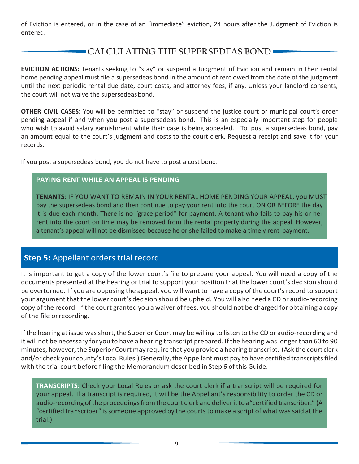of Eviction is entered, or in the case of an "immediate" eviction, 24 hours after the Judgment of Eviction is entered.

# **CALCULATING THE SUPERSEDEAS BOND**

**EVICTION ACTIONS:** Tenants seeking to "stay" or suspend a Judgment of Eviction and remain in their rental home pending appeal must file a supersedeas bond in the amount of rent owed from the date of the judgment until the next periodic rental due date, court costs, and attorney fees, if any. Unless your landlord consents, the court will not waive the supersedeas bond.

**OTHER CIVIL CASES:** You will be permitted to "stay" or suspend the justice court or municipal court's order pending appeal if and when you post a supersedeas bond. This is an especially important step for people who wish to avoid salary garnishment while their case is being appealed. To post a supersedeas bond, pay an amount equal to the court's judgment and costs to the court clerk. Request a receipt and save it for your records.

If you post a supersedeas bond, you do not have to post a cost bond.

#### **PAYING RENT WHILE AN APPEAL IS PENDING**

**TENANTS**: IF YOU WANT TO REMAIN IN YOUR RENTAL HOME PENDING YOUR APPEAL, you MUST pay the supersedeas bond and then continue to pay your rent into the court ON OR BEFORE the day it is due each month. There is no "grace period" for payment. A tenant who fails to pay his or her rent into the court on time may be removed from the rental property during the appeal. However, a tenant's appeal will not be dismissed because he or she failed to make a timely rent payment.

### **Step 5:** Appellant orders trial record

It is important to get a copy of the lower court's file to prepare your appeal. You will need a copy of the documents presented at the hearing or trial to support your position that the lower court's decision should be overturned. If you are opposing the appeal, you will want to have a copy of the court's record to support your argument that the lower court's decision should be upheld. You will also need a CD or audio-recording copy of the record. If the court granted you a waiver of fees, you should not be charged for obtaining a copy of the file orrecording.

If the hearing at issue was short, the Superior Court may be willing to listen to the CD or audio-recording and it will not be necessary for you to have a hearing transcript prepared. If the hearing was longer than 60 to 90 minutes, however, the Superior Court may require that you provide a hearing transcript. (Ask the court clerk and/or check your county's Local Rules.) Generally, the Appellant must pay to have certified transcripts filed with the trial court before filing the Memorandum described in Step 6 of this Guide.

**TRANSCRIPTS**: Check your Local Rules or ask the court clerk if a transcript will be required for your appeal. If a transcript is required, it will be the Appellant's responsibility to order the CD or audio-recording of the proceedings from the court clerk and deliver it to a "certified transcriber." (A "certified transcriber" is someone approved by the courts to make a script of what was said at the trial.)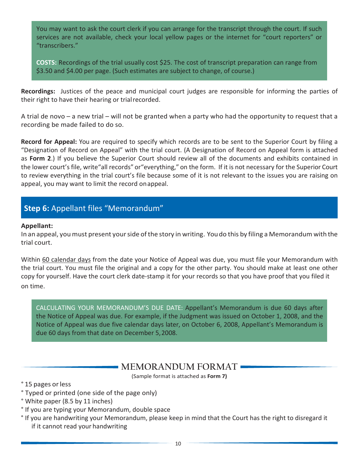You may want to ask the court clerk if you can arrange for the transcript through the court. If such services are not available, check your local yellow pages or the internet for "court reporters" or "transcribers."

**COSTS:** Recordings of the trial usually cost \$25. The cost of transcript preparation can range from \$3.50 and \$4.00 per page. (Such estimates are subject to change, of course.)

**Recordings:** Justices of the peace and municipal court judges are responsible for informing the parties of their right to have their hearing or trialrecorded.

A trial de novo – a new trial – will not be granted when a party who had the opportunity to request that a recording be made failed to do so.

**Record for Appeal:** You are required to specify which records are to be sent to the Superior Court by filing a "Designation of Record on Appeal" with the trial court. (A Designation of Record on Appeal form is attached as **Form 2**.) If you believe the Superior Court should review all of the documents and exhibits contained in the lower court's file, write"all records" or"everything," on the form. If it is not necessary for the Superior Court to review everything in the trial court's file because some of it is not relevant to the issues you are raising on appeal, you may want to limit the record onappeal.

# **Step 6:** Appellant files "Memorandum"

#### **Appellant:**

In an appeal, youmust present yourside ofthe story in writing. Youdo this by filing a Memorandum with the trial court.

Within 60 calendar days from the date your Notice of Appeal was due, you must file your Memorandum with the trial court. You must file the original and a copy for the other party. You should make at least one other copy for yourself. Have the court clerk date-stamp it for your records so that you have proof that you filed it on time.

CALCULATING YOUR MEMORANDUM'S DUE DATE: Appellant's Memorandum is due 60 days after the Notice of Appeal was due. For example, if the Judgment was issued on October 1, 2008, and the Notice of Appeal was due five calendar days later, on October 6, 2008, Appellant's Memorandum is due 60 days from that date on December 5,2008.

### **MEMORANDUM FORMAT**

(Sample format is attached as **Form 7)**

° 15 pages orless

- ° Typed or printed (one side of the page only)
- ° White paper (8.5 by 11 inches)
- ° If you are typing your Memorandum, double space
- ° If you are handwriting your Memorandum, please keep in mind that the Court has the right to disregard it if it cannot read your handwriting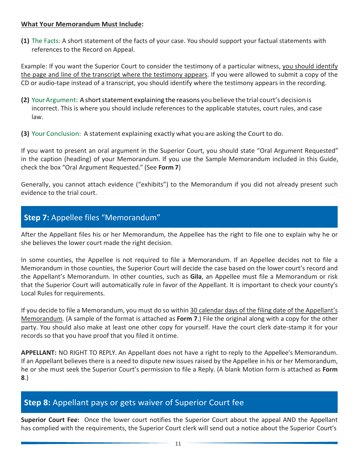#### **What Your Memorandum Must Include:**

**(1)** The Facts: A short statement of the facts of your case. You should support your factual statements with references to the Record on Appeal.

Example: If you want the Superior Court to consider the testimony of a particular witness, you should identify the page and line of the transcript where the testimony appears. If you were allowed to submit a copy of the CD or audio-tape instead of a transcript, you should identify where the testimony appears in the recording.

- **(2)** Your Argument: A short statement explaining the reasons you believe the trial court's decision is incorrect. This is where you should include references to the applicable statutes, court rules, and case law.
- **(3)** Your Conclusion: A statement explaining exactly what you are asking the Court to do.

If you want to present an oral argument in the Superior Court, you should state "Oral Argument Requested" in the caption (heading) of your Memorandum. If you use the Sample Memorandum included in this Guide, check the box "Oral Argument Requested." (See **Form 7**)

Generally, you cannot attach evidence ("exhibits") to the Memorandum if you did not already present such evidence to the trial court.

### **Step 7:** Appellee files "Memorandum"

After the Appellant files his or her Memorandum, the Appellee has the right to file one to explain why he or she believes the lower court made the right decision.

In some counties, the Appellee is not required to file a Memorandum. If an Appellee decides not to file a Memorandum in those counties, the Superior Court will decide the case based on the lower court's record and the Appellant's Memorandum. In other counties, such as **Gila**, an Appellee must file a Memorandum or risk that the Superior Court will automatically rule in favor of the Appellant. It is important to check your county's Local Rules for requirements.

If you decide to file a Memorandum, you must do so within 30 calendar days of the filing date of the Appellant's Memorandum. (A sample of the format is attached as **Form 7**.) File the original along with a copy for the other party. You should also make at least one other copy for yourself. Have the court clerk date-stamp it for your records so that you have proof that you filed it ontime.

**APPELLANT:** NO RIGHT TO REPLY. An Appellant does not have a right to reply to the Appellee's Memorandum. If an Appellant believes there is a need to dispute new issues raised by the Appellee in his or her Memorandum, he or she must seek the Superior Court's permission to file a Reply. (A blank Motion form is attached as **Form 8**.)

### **Step 8:** Appellant pays or gets waiver of Superior Court fee

**Superior Court Fee:** Once the lower court notifies the Superior Court about the appeal AND the Appellant has complied with the requirements, the Superior Court clerk will send out a notice about the Superior Court's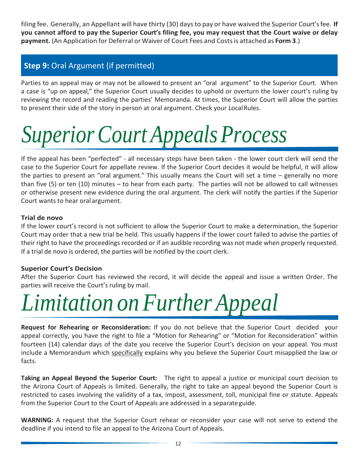filing fee. Generally, an Appellant will have thirty (30) days to pay or have waived the Superior Court'sfee. **If you cannot afford to pay the Superior Court's filing fee, you may request that the Court waive or delay payment.** (An Application for Deferral or Waiver of Court Fees and Costsis attached as **Form 3**.)

### **Step 9:** Oral Argument (if permitted)

Parties to an appeal may or may not be allowed to present an "oral argument" to the Superior Court. When a case is "up on appeal," the Superior Court usually decides to uphold or overturn the lower court's ruling by reviewing the record and reading the parties' Memoranda. At times, the Superior Court will allow the parties to present their side of the story in person at oral argument. Check your LocalRules.

# *SuperiorCourt AppealsProcess*

If the appeal has been "perfected" - all necessary steps have been taken - the lower court clerk will send the case to the Superior Court for appellate review. If the Superior Court decides it would be helpful, it will allow the parties to present an "oral argument." This usually means the Court will set a time – generally no more than five (5) or ten (10) minutes – to hear from each party. The parties will not be allowed to call witnesses or otherwise present new evidence during the oral argument. The clerk will notify the parties if the Superior Court wants to hear oral argument.

#### **Trial de novo**

If the lower court's record is not sufficient to allow the Superior Court to make a determination, the Superior Court may order that a new trial be held. This usually happens if the lower court failed to advise the parties of their right to have the proceedings recorded or if an audible recording was not made when properly requested. If a trial de novo is ordered, the parties will be notified by the court clerk.

#### **Superior Court's Decision**

After the Superior Court has reviewed the record, it will decide the appeal and issue a written Order. The parties will receive the Court's ruling by mail.

# *Limitation on Further Appeal*

**Request for Rehearing or Reconsideration:** If you do not believe that the Superior Court decided your appeal correctly, you have the right to file a "Motion for Rehearing" or "Motion for Reconsideration" within fourteen (14) calendar days of the date you receive the Superior Court's decision on your appeal. You must include a Memorandum which specifically explains why you believe the Superior Court misapplied the law or facts.

**Taking an Appeal Beyond the Superior Court:** The right to appeal a justice or municipal court decision to the Arizona Court of Appeals is limited. Generally, the right to take an appeal beyond the Superior Court is restricted to cases involving the validity of a tax, impost, assessment, toll, municipal fine or statute. Appeals from the Superior Court to the Court of Appeals are addressed in a separateguide.

**WARNING:** A request that the Superior Court rehear or reconsider your case will not serve to extend the deadline if you intend to file an appeal to the Arizona Court of Appeals.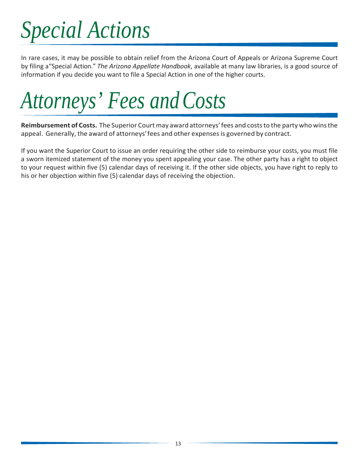# *Special Actions*

In rare cases, it may be possible to obtain relief from the Arizona Court of Appeals or Arizona Supreme Court by filing a"Special Action." *The Arizona Appellate Handbook*, available at many law libraries, is a good source of information if you decide you want to file a Special Action in one of the higher courts.

*Attorneys' Fees andCosts*

**Reimbursement of Costs.** The Superior Courtmay award attorneys'fees and coststo the party who winsthe appeal. Generally, the award of attorneys'fees and other expensesis governed by contract.

If you want the Superior Court to issue an order requiring the other side to reimburse your costs, you must file a sworn itemized statement of the money you spent appealing your case. The other party has a right to object to your request within five (5) calendar days of receiving it. If the other side objects, you have right to reply to his or her objection within five (5) calendar days of receiving the objection.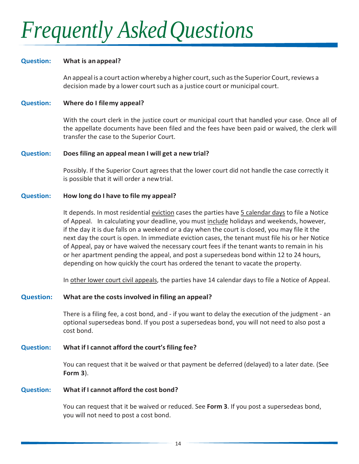# *Frequently AskedQuestions*

#### **Question: What is anappeal?**

An appeal is a court action whereby a higher court, such as the Superior Court, reviews a decision made by a lower court such as a justice court or municipal court.

#### **Question: Where do I filemy appeal?**

With the court clerk in the justice court or municipal court that handled your case. Once all of the appellate documents have been filed and the fees have been paid or waived, the clerk will transfer the case to the Superior Court.

#### **Question: Does filing an appeal mean I will get a new trial?**

Possibly. If the Superior Court agrees that the lower court did not handle the case correctly it is possible that it will order a newtrial.

#### **Question: How long do I have to file my appeal?**

It depends. In most residential eviction cases the parties have 5 calendar days to file a Notice of Appeal. In calculating your deadline, you must include holidays and weekends, however, if the day it is due falls on a weekend or a day when the court is closed, you may file it the next day the court is open. In immediate eviction cases, the tenant must file his or her Notice of Appeal, pay or have waived the necessary court fees if the tenant wants to remain in his or her apartment pending the appeal, and post a supersedeas bond within 12 to 24 hours, depending on how quickly the court has ordered the tenant to vacate the property.

In other lower court civil appeals, the parties have 14 calendar days to file a Notice of Appeal.

#### **Question: What are the costsinvolved in filing an appeal?**

There is a filing fee, a cost bond, and - if you want to delay the execution of the judgment - an optional supersedeas bond. If you post a supersedeas bond, you will not need to also post a cost bond.

#### **Question: What if I cannot afford the court'sfiling fee?**

You can request that it be waived or that payment be deferred (delayed) to a later date. (See **Form 3**).

#### **Question: What if I cannot afford the cost bond?**

You can request that it be waived or reduced. See **Form 3**. If you post a supersedeas bond, you will not need to post a cost bond.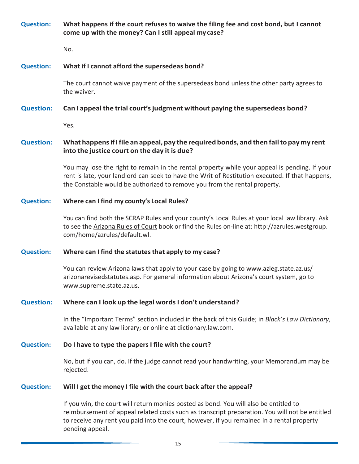**Question: What happens if the court refuses to waive the filing fee and cost bond, but I cannot come up with the money? Can I still appeal mycase?**

No.

#### **Question: What if I cannot afford the supersedeas bond?**

The court cannot waive payment of the supersedeas bond unless the other party agrees to the waiver.

#### **Question: Can I appeal the trial court'sjudgment without paying the supersedeas bond?**

Yes.

#### **Question: What happensif I file an appeal, pay the required bonds, and then failto pay my rent into the justice court on the day it is due?**

You may lose the right to remain in the rental property while your appeal is pending. If your rent is late, your landlord can seek to have the Writ of Restitution executed. If that happens, the Constable would be authorized to remove you from the rental property.

#### **Question: Where can I find my county's Local Rules?**

You can find both the SCRAP Rules and your county's Local Rules at your local law library. Ask to see the Arizona Rules of Court book or find the Rules on-line at: [http://azrules.westgroup.](http://azrules.westgroup/) com/home/azrules/default.wl.

#### **Question: Where can I find the statutesthat apply to my case?**

You can review Arizona laws that apply to your case by going to [www.azleg.state.az.us/](http://www.azleg.state.az.us/) arizonarevisedstatutes.asp. For general information about Arizona's court system, go to [www.supreme.state.az.us.](http://www.supreme.state.az.us/)

#### **Question: Where can I look up the legal words I don't understand?**

In the "Important Terms" section included in the back of this Guide; in *Black's Law Dictionary*, available at any law library; or online at dictionary.law.com.

#### **Question: Do I have to type the papers I file with the court?**

No, but if you can, do. If the judge cannot read your handwriting, your Memorandum may be rejected.

#### **Question: Will I get the money I file with the court back after the appeal?**

If you win, the court will return monies posted as bond. You will also be entitled to reimbursement of appeal related costs such as transcript preparation. You will not be entitled to receive any rent you paid into the court, however, if you remained in a rental property pending appeal.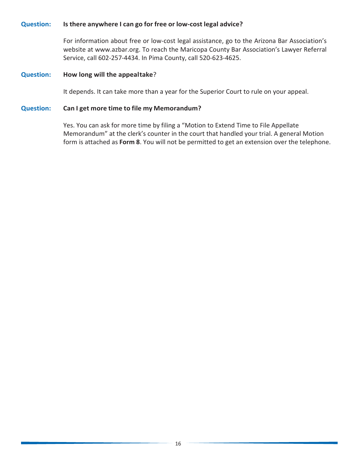#### **Question: Is there anywhere I can go for free or low-cost legal advice?**

For information about free or low-cost legal assistance, go to the Arizona Bar Association's website at [www.azbar.org.](http://www.azbar.org/) To reach the Maricopa County Bar Association's Lawyer Referral Service, call 602-257-4434. In Pima County, call 520-623-4625.

#### **Question: How long will the appealtake**?

It depends. It can take more than a year for the Superior Court to rule on your appeal.

#### **Question: Can I get more time to file my Memorandum?**

Yes. You can ask for more time by filing a "Motion to Extend Time to File Appellate Memorandum" at the clerk's counter in the court that handled your trial. A general Motion form is attached as **Form 8**. You will not be permitted to get an extension over the telephone.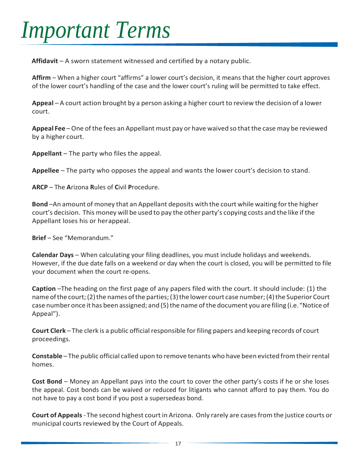# *Important Terms*

**Affidavit** – A sworn statement witnessed and certified by a notary public.

**Affirm** – When a higher court "affirms" a lower court's decision, it means that the higher court approves of the lower court's handling of the case and the lower court's ruling will be permitted to take effect.

**Appeal** – A court action brought by a person asking a higher court to review the decision of a lower court.

Appeal Fee - One of the fees an Appellant must pay or have waived so that the case may be reviewed by a higher court.

**Appellant** – The party who files the appeal.

**Appellee** – The party who opposes the appeal and wants the lower court's decision to stand.

**ARCP** – The **A**rizona **R**ules of **C**ivil **P**rocedure.

**Bond** –An amount of money that an Appellant deposits with the court while waiting forthe higher court's decision. This money will be used to pay the other party's copying costs and the like ifthe Appellant loses his or herappeal.

**Brief** – See "Memorandum."

**Calendar Days** – When calculating your filing deadlines, you must include holidays and weekends. However, if the due date falls on a weekend or day when the court is closed, you will be permitted to file your document when the court re-opens.

**Caption** –The heading on the first page of any papers filed with the court. It should include: (1) the name of the court; (2) the names of the parties; (3) the lower court case number; (4) the Superior Court case number once it has been assigned; and (5) the name of the document you are filing (i.e. "Notice of Appeal").

**Court Clerk** – The clerk is a public official responsible forfiling papers and keeping records of court proceedings.

**Constable** – The public official called upon to remove tenants who have been evicted from their rental homes.

**Cost Bond** – Money an Appellant pays into the court to cover the other party's costs if he or she loses the appeal. Cost bonds can be waived or reduced for litigants who cannot afford to pay them. You do not have to pay a cost bond if you post a supersedeas bond.

**Court of Appeals**- The second highest court in Arizona. Only rarely are casesfrom the justice courts or municipal courts reviewed by the Court of Appeals.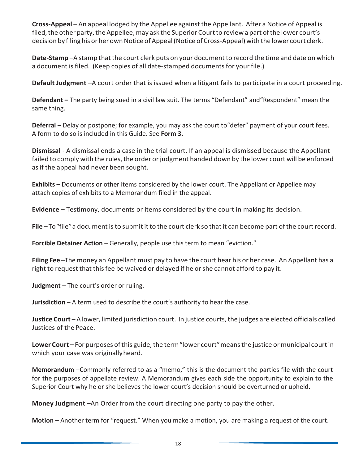**Cross-Appeal** – An appeal lodged by the Appellee against the Appellant. After a Notice of Appeal is filed, the other party, the Appellee, may ask the Superior Court to review a part of the lower court's decision by filing his or her own Notice of Appeal (Notice of Cross-Appeal) with the lower court clerk.

Date-Stamp-A stamp that the court clerk puts on your document to record the time and date on which a document is filed. (Keep copies of all date-stamped documents for your file.)

**Default Judgment** –A court order that is issued when a litigant fails to participate in a court proceeding.

**Defendant –** The party being sued in a civil law suit. The terms "Defendant" and"Respondent" mean the same thing.

**Deferral** – Delay or postpone; for example, you may ask the court to"defer" payment of your court fees. A form to do so is included in this Guide. See **Form 3.**

**Dismissal** - A dismissal ends a case in the trial court. If an appeal is dismissed because the Appellant failed to comply with the rules, the order or judgment handed down by the lower court will be enforced as if the appeal had never been sought.

**Exhibits** – Documents or other items considered by the lower court. The Appellant or Appellee may attach copies of exhibits to a Memorandum filed in the appeal.

**Evidence** – Testimony, documents or items considered by the court in making its decision.

File – To "file" a document is to submit it to the court clerk so that it can become part of the court record.

**Forcible Detainer Action – Generally, people use this term to mean "eviction."** 

**Filing Fee** –Themoney an Appellant must pay to have the court hear his or her case. An Appellant has a right to request that thisfee be waived or delayed if he orshe cannot afford to pay it.

**Judgment** – The court's order or ruling.

**Jurisdiction** – A term used to describe the court's authority to hear the case.

**Justice Court** – A lower, limited jurisdiction court. In justice courts, the judges are elected officials called Justices of the Peace.

Lower Court – For purposes of this guide, the term "lower court" means the justice or municipal court in which your case was originallyheard.

**Memorandum** –Commonly referred to as a "memo," this is the document the parties file with the court for the purposes of appellate review. A Memorandum gives each side the opportunity to explain to the Superior Court why he or she believes the lower court's decision should be overturned or upheld.

**Money Judgment** –An Order from the court directing one party to pay the other.

**Motion** – Another term for "request." When you make a motion, you are making a request of the court.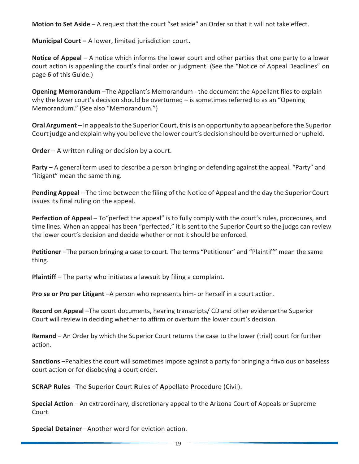**Motion to Set Aside** – A request that the court "set aside" an Order so that it will not take effect.

**Municipal Court –** A lower, limited jurisdiction court**.**

**Notice of Appeal** – A notice which informs the lower court and other parties that one party to a lower court action is appealing the court's final order or judgment. (See the "Notice of Appeal Deadlines" on page 6 of this Guide.)

**Opening Memorandum** –The Appellant's Memorandum - the document the Appellant files to explain why the lower court's decision should be overturned – is sometimes referred to as an "Opening Memorandum." (See also "Memorandum.")

Oral Argument – In appeals to the Superior Court, this is an opportunity to appear before the Superior Court judge and explain why you believe the lower court's decision should be overturned or upheld.

**Order** – A written ruling or decision by a court.

**Party** – A general term used to describe a person bringing or defending against the appeal. "Party" and "litigant" mean the same thing.

**Pending Appeal** – The time between the filing of the Notice of Appeal and the day the Superior Court issues its final ruling on the appeal.

**Perfection of Appeal** – To "perfect the appeal" is to fully comply with the court's rules, procedures, and time lines. When an appeal has been "perfected," it is sent to the Superior Court so the judge can review the lower court's decision and decide whether or not it should be enforced.

**Petitioner** –The person bringing a case to court. The terms "Petitioner" and "Plaintiff" mean the same thing.

**Plaintiff** – The party who initiates a lawsuit by filing a complaint.

**Pro se or Pro per Litigant** –A person who represents him- or herself in a court action.

**Record on Appeal** –The court documents, hearing transcripts/ CD and other evidence the Superior Court will review in deciding whether to affirm or overturn the lower court's decision.

**Remand** – An Order by which the Superior Court returns the case to the lower (trial) court for further action.

**Sanctions** –Penalties the court will sometimes impose against a party for bringing a frivolous or baseless court action or for disobeying a court order.

**SCRAP Rules** –The **S**uperior **C**ourt **R**ules of **A**ppellate **P**rocedure (Civil).

**Special Action** – An extraordinary, discretionary appeal to the Arizona Court of Appeals or Supreme Court.

**Special Detainer** –Another word for eviction action.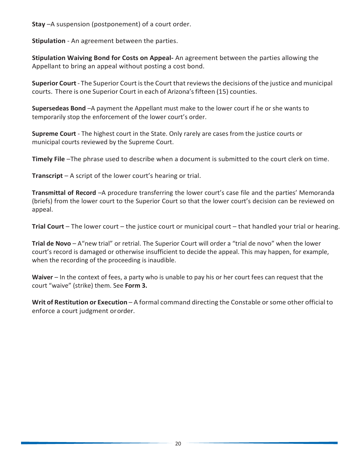**Stay** –A suspension (postponement) of a court order.

**Stipulation** - An agreement between the parties.

**Stipulation Waiving Bond for Costs on Appeal-** An agreement between the parties allowing the Appellant to bring an appeal without posting a cost bond.

**Superior Court** - The Superior Court isthe Court that reviewsthe decisions of the justice and municipal courts. There is one Superior Court in each of Arizona'sfifteen (15) counties.

**Supersedeas Bond** –A payment the Appellant must make to the lower court if he or she wants to temporarily stop the enforcement of the lower court's order.

**Supreme Court** - The highest court in the State. Only rarely are cases from the justice courts or municipal courts reviewed by the Supreme Court.

**Timely File** –The phrase used to describe when a document is submitted to the court clerk on time.

**Transcript** – A script of the lower court's hearing or trial.

**Transmittal of Record** –A procedure transferring the lower court's case file and the parties' Memoranda (briefs) from the lower court to the Superior Court so that the lower court's decision can be reviewed on appeal.

**Trial Court** – The lower court – the justice court or municipal court – that handled your trial or hearing.

**Trial de Novo** – A"new trial" or retrial. The Superior Court will order a "trial de novo" when the lower court's record is damaged or otherwise insufficient to decide the appeal. This may happen, for example, when the recording of the proceeding is inaudible.

**Waiver** – In the context of fees, a party who is unable to pay his or her court fees can request that the court "waive" (strike) them. See **Form 3.**

**Writ of Restitution or Execution** – A formal command directing the Constable or some other official to enforce a court judgment ororder.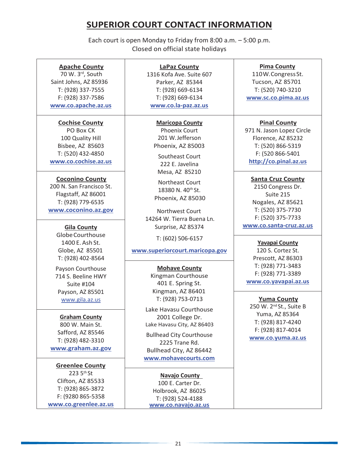# **SUPERIOR COURT CONTACT INFORMATION**

Each court is open Monday to Friday from 8:00 a.m. – 5:00 p.m. Closed on official state holidays

#### **Apache County**

70 W. 3rd, South Saint Johns, AZ 85936 T: (928) 337-7555 F: (928) 337-7586 **[www.co.apache.az.us](http://www.co.apache.az.us/)**

#### **Cochise County**

PO Box CK 100 Quality Hill Bisbee, AZ 85603 T: (520) 432-4850 **[www.co.cochise.az.us](http://www.co.cochise.az.us/)**

#### **Coconino County**

200 N. San Francisco St. Flagstaff, AZ 86001 T: (928) 779-6535 **[www.coconino.az.gov](http://www.coconino.az.gov/)**

GlobeCourthouse 1400 E. Ash St. Globe, AZ 85501 T: (928) 402-8564

Payson Courthouse 714 S. Beeline HWY Suite #104 Payson, AZ 85501 [www.gila.az.us](http://www.gila.az.us/)

#### **Graham County**

800 W. Main St. Safford, AZ 85546 T: (928) 482-3310 **[www.graham.az.gov](http://www.graham.az.gov/)**

**Greenlee County** 223 5th St Clifton, AZ 85533 T: (928) 865-3872 F: (9280 865-5358 **[www.co.greenlee.az.us](http://www.co.greenlee.az.us/)**

**LaPaz County** 1316 Kofa Ave. Suite 607 Parker, AZ 85344 T: (928) 669-6134 T: (928) 669-6134 **[www.co.la-paz.az.us](http://www.co.la-paz.az.us/)**

**Maricopa County** Phoenix Court 201 W.Jefferson Phoenix, AZ 85003

Southeast Court 222 E. Javelina Mesa, AZ 85210

Northeast Court 18380 N. 40th St. Phoenix, AZ 85030

Northwest Court 14264 W. Tierra Buena Ln. Surprise, AZ 85374 **Gila County [www.co.santa-cruz.az.us](http://www.co.santa-cruz.az.us/)** 

T: (602) 506-6157

#### **[www.superiorcourt.maricopa.gov](http://www.superiorcourt.maricopa.gov/)**

#### **Mohave County**

Kingman Courthouse 401 E. Spring St. Kingman, AZ 86401 T: (928) 753-0713

Lake Havasu Courthouse 2001 College Dr. Lake Havasu City, AZ 86403

Bullhead City Courthouse 2225 Trane Rd. Bullhead City, AZ 86442 **[www.mohavecourts.com](http://www.mohavecourts.com/)**

**Navajo County**  100 E. Carter Dr. Holbrook, AZ 86025 T: (928) 524-4188 **[www.co.navajo.az.us](http://www.co.navajo.az.us/)**

#### **Pima County**

110W.CongressSt. Tucson, AZ 85701 T: (520) 740-3210 **[www.sc.co.pima.az.us](http://www.sc.co.pima.az.us/)**

#### **Pinal County**

971 N. Jason Lopez Circle Florence, AZ 85232 T: (520) 866-5319 F: (520 866-5401 **[http://co.pinal.az.us](http://co.pinal.az.us/)**

#### **Santa Cruz County**

2150 Congress Dr. Suite 215 Nogales, AZ 85621 T: (520) 375-7730 F: (520) 375-7733

#### **Yavapai County**

120 S. Cortez St. Prescott, AZ 86303 T: (928) 771-3483 F: (928) 771-3389 **[www.co.yavapai.az.us](http://www.co.yavapai.az.us/)**

#### **Yuma County**

250 W. 2nd St., Suite B Yuma, AZ 85364 T: (928) 817-4240 F: (928) 817-4014 **[www.co.yuma.az.us](http://www.co.yuma.az.us/)**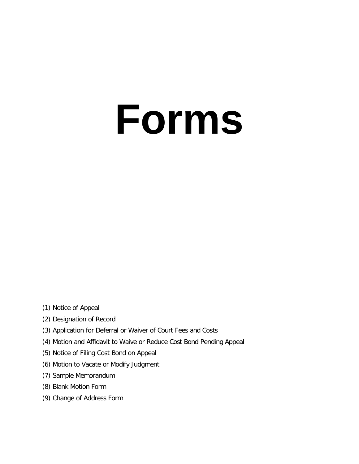# **Forms**

- (1) Notice of Appeal
- (2) Designation of Record
- (3) Application for Deferral or Waiver of Court Fees and Costs
- (4) Motion and Affidavit to Waive or Reduce Cost Bond Pending Appeal
- (5) Notice of Filing Cost Bond on Appeal
- (6) Motion to Vacate or Modify Judgment
- (7) Sample Memorandum
- (8) Blank Motion Form
- (9) Change of Address Form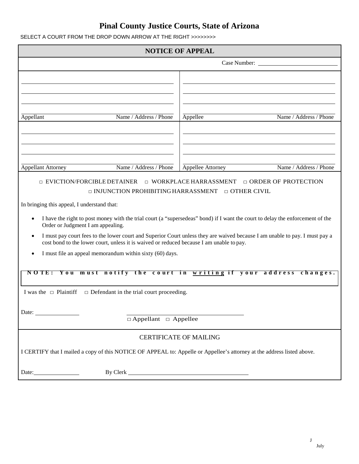| SELECT A COURT FROM THE DROP DOWN ARROW AT THE RIGHT >>>>>>>> |
|---------------------------------------------------------------|
|                                                               |

| <b>NOTICE OF APPEAL</b>                                                                                                                                                                                                 |                                                                                                                  |  |  |  |
|-------------------------------------------------------------------------------------------------------------------------------------------------------------------------------------------------------------------------|------------------------------------------------------------------------------------------------------------------|--|--|--|
| Case Number:                                                                                                                                                                                                            |                                                                                                                  |  |  |  |
|                                                                                                                                                                                                                         |                                                                                                                  |  |  |  |
| Name / Address / Phone<br>Appellant                                                                                                                                                                                     | Name / Address / Phone<br>Appellee                                                                               |  |  |  |
| Name / Address / Phone<br><b>Appellant Attorney</b>                                                                                                                                                                     | Name / Address / Phone<br>Appellee Attorney                                                                      |  |  |  |
| <b>EVICTION/FORCIBLE DETAINER</b>                                                                                                                                                                                       | □ WORKPLACE HARRASSMENT<br>□ ORDER OF PROTECTION<br>$\Box$ INJUNCTION PROHIBITING HARRASSMENT $\Box$ OTHER CIVIL |  |  |  |
| In bringing this appeal, I understand that:                                                                                                                                                                             |                                                                                                                  |  |  |  |
| I have the right to post money with the trial court (a "supersedeas" bond) if I want the court to delay the enforcement of the<br>$\bullet$<br>Order or Judgment I am appealing.                                        |                                                                                                                  |  |  |  |
| I must pay court fees to the lower court and Superior Court unless they are waived because I am unable to pay. I must pay a<br>cost bond to the lower court, unless it is waived or reduced because I am unable to pay. |                                                                                                                  |  |  |  |
| I must file an appeal memorandum within sixty (60) days.                                                                                                                                                                |                                                                                                                  |  |  |  |
| must notify the court in writing if your address changes.<br>NOTE: You                                                                                                                                                  |                                                                                                                  |  |  |  |
| I was the $\Box$ Plaintiff<br>$\Box$ Defendant in the trial court proceeding.                                                                                                                                           |                                                                                                                  |  |  |  |
|                                                                                                                                                                                                                         |                                                                                                                  |  |  |  |
| $\Box$ Appellant $\Box$ Appellee                                                                                                                                                                                        |                                                                                                                  |  |  |  |
| <b>CERTIFICATE OF MAILING</b>                                                                                                                                                                                           |                                                                                                                  |  |  |  |
| I CERTIFY that I mailed a copy of this NOTICE OF APPEAL to: Appelle or Appellee's attorney at the address listed above.                                                                                                 |                                                                                                                  |  |  |  |
|                                                                                                                                                                                                                         |                                                                                                                  |  |  |  |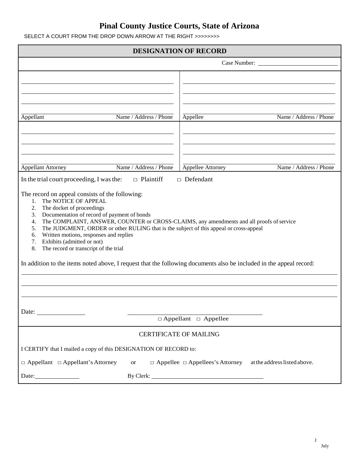SELECT A COURT FROM THE DROP DOWN ARROW AT THE RIGHT >>>>>>>>

| <b>DESIGNATION OF RECORD</b>                                                                                                                                                                                                                                                                                                                                                                                                                                                                                                                                                                                                      |                                             |  |  |  |
|-----------------------------------------------------------------------------------------------------------------------------------------------------------------------------------------------------------------------------------------------------------------------------------------------------------------------------------------------------------------------------------------------------------------------------------------------------------------------------------------------------------------------------------------------------------------------------------------------------------------------------------|---------------------------------------------|--|--|--|
|                                                                                                                                                                                                                                                                                                                                                                                                                                                                                                                                                                                                                                   | Case Number:                                |  |  |  |
| Name / Address / Phone<br>Appellant                                                                                                                                                                                                                                                                                                                                                                                                                                                                                                                                                                                               | Appellee<br>Name / Address / Phone          |  |  |  |
| Name / Address / Phone<br><b>Appellant Attorney</b>                                                                                                                                                                                                                                                                                                                                                                                                                                                                                                                                                                               | Name / Address / Phone<br>Appellee Attorney |  |  |  |
| $\Box$ Plaintiff<br>In the trial court proceeding, I was the:                                                                                                                                                                                                                                                                                                                                                                                                                                                                                                                                                                     | $\Box$ Defendant                            |  |  |  |
| The record on appeal consists of the following:<br>The NOTICE OF APPEAL<br>1.<br>The docket of proceedings<br>2.<br>Documentation of record of payment of bonds<br>3.<br>The COMPLAINT, ANSWER, COUNTER or CROSS-CLAIMS, any amendments and all proofs of service<br>4.<br>The JUDGMENT, ORDER or other RULING that is the subject of this appeal or cross-appeal<br>5.<br>Written motions, responses and replies<br>6.<br>Exhibits (admitted or not)<br>7.<br>8.<br>The record or transcript of the trial<br>In addition to the items noted above, I request that the following documents also be included in the appeal record: |                                             |  |  |  |
|                                                                                                                                                                                                                                                                                                                                                                                                                                                                                                                                                                                                                                   |                                             |  |  |  |
|                                                                                                                                                                                                                                                                                                                                                                                                                                                                                                                                                                                                                                   |                                             |  |  |  |
| $\Box$ Appellant $\Box$ Appellee                                                                                                                                                                                                                                                                                                                                                                                                                                                                                                                                                                                                  |                                             |  |  |  |
| <b>CERTIFICATE OF MAILING</b>                                                                                                                                                                                                                                                                                                                                                                                                                                                                                                                                                                                                     |                                             |  |  |  |
| I CERTIFY that I mailed a copy of this DESIGNATION OF RECORD to:                                                                                                                                                                                                                                                                                                                                                                                                                                                                                                                                                                  |                                             |  |  |  |
| $\Box$ Appellant $\Box$ Appellant's Attorney<br>$\Box$ Appellee $\Box$ Appellees's Attorney<br>at the address listed above.<br><b>or</b>                                                                                                                                                                                                                                                                                                                                                                                                                                                                                          |                                             |  |  |  |
| Date: $\qquad \qquad$                                                                                                                                                                                                                                                                                                                                                                                                                                                                                                                                                                                                             |                                             |  |  |  |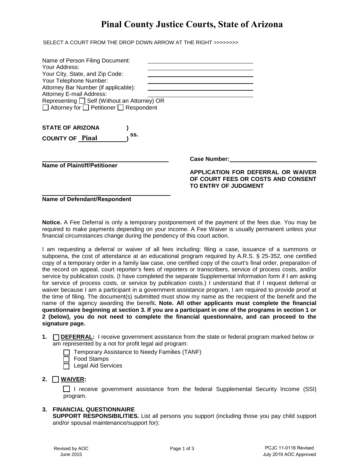SELECT A COURT FROM THE DROP DOWN ARROW AT THE RIGHT >>>>>>>>

| Name of Person Filing Document:<br>Your Address:<br>Your City, State, and Zip Code:<br>Your Telephone Number:<br>Attorney Bar Number (if applicable):<br>Attorney E-mail Address:<br>Representing □ Self (Without an Attorney) OR<br>$\Box$ Attorney for $\Box$ Petitioner $\Box$ Respondent |                                                                                                                         |
|----------------------------------------------------------------------------------------------------------------------------------------------------------------------------------------------------------------------------------------------------------------------------------------------|-------------------------------------------------------------------------------------------------------------------------|
| <b>STATE OF ARIZONA</b><br>SS.<br><b>COUNTY OF Pinal</b>                                                                                                                                                                                                                                     |                                                                                                                         |
| <b>Name of Plaintiff/Petitioner</b>                                                                                                                                                                                                                                                          | <b>Case Number:</b><br>APPLICATION FOR DEFERRAL OR WAIVER<br>OF COURT FEES OR COSTS AND CONSENT<br>TO ENTRY OF JUDGMENT |

**Name of Defendant/Respondent**

**Notice.** A Fee Deferral is only a temporary postponement of the payment of the fees due. You may be required to make payments depending on your income. A Fee Waiver is usually permanent unless your financial circumstances change during the pendency of this court action.

I am requesting a deferral or waiver of all fees including: filing a case, issuance of a summons or subpoena, the cost of attendance at an educational program required by A.R.S. § 25-352, one certified copy of a temporary order in a family law case, one certified copy of the court's final order, preparation of the record on appeal, court reporter's fees of reporters or transcribers, service of process costs, and/or service by publication costs. (I have completed the separate Supplemental Information form if I am asking for service of process costs, or service by publication costs.) I understand that if I request deferral or waiver because I am a participant in a government assistance program, I am required to provide proof at the time of filing. The document(s) submitted must show my name as the recipient of the benefit and the name of the agency awarding the benefit**. Note. All other applicants must complete the financial questionnaire beginning at section 3. If you are a participant in one of the programs in section 1 or 2 (below), you do not need to complete the financial questionnaire, and can proceed to the signature page.** 

- 1. **IDEFERRAL:** I receive government assistance from the state or federal program marked below or am represented by a not for profit legal aid program:
	- $\Box$  Temporary Assistance to Needy Families (TANF)
	- □ Food Stamps
	- $\Box$  Legal Aid Services

#### **2.** [ ] **WAIVER:**

**T** I receive government assistance from the federal Supplemental Security Income (SSI) program.

#### **3. FINANCIAL QUESTIONNAIRE**

**SUPPORT RESPONSIBILITIES.** List all persons you support (including those you pay child support and/or spousal maintenance/support for):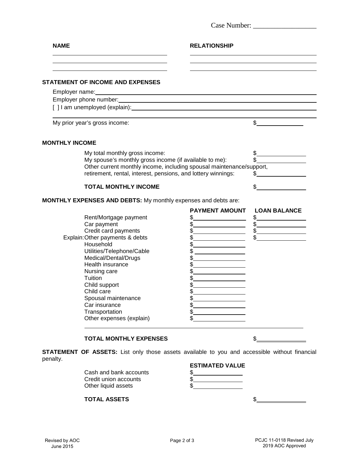| <b>NAME</b>                             | <b>RELATIONSHIP</b>                                                                                                                                                                                                            |                                                                                  |
|-----------------------------------------|--------------------------------------------------------------------------------------------------------------------------------------------------------------------------------------------------------------------------------|----------------------------------------------------------------------------------|
|                                         |                                                                                                                                                                                                                                |                                                                                  |
| <b>STATEMENT OF INCOME AND EXPENSES</b> |                                                                                                                                                                                                                                |                                                                                  |
|                                         |                                                                                                                                                                                                                                |                                                                                  |
|                                         |                                                                                                                                                                                                                                |                                                                                  |
|                                         | [ ] I am unemployed (explain): example of the state of the state of the state of the state of the state of the state of the state of the state of the state of the state of the state of the state of the state of the state o |                                                                                  |
| My prior year's gross income:           |                                                                                                                                                                                                                                | $\frac{1}{\sqrt{2}}$                                                             |
| <b>MONTHLY INCOME</b>                   |                                                                                                                                                                                                                                |                                                                                  |
| My total monthly gross income:          |                                                                                                                                                                                                                                | $\frac{1}{2}$                                                                    |
|                                         | My spouse's monthly gross income (if available to me):                                                                                                                                                                         | \$                                                                               |
|                                         | Other current monthly income, including spousal maintenance/support,                                                                                                                                                           |                                                                                  |
|                                         | retirement, rental, interest, pensions, and lottery winnings:                                                                                                                                                                  | $\frac{1}{2}$                                                                    |
|                                         |                                                                                                                                                                                                                                |                                                                                  |
|                                         |                                                                                                                                                                                                                                |                                                                                  |
| <b>TOTAL MONTHLY INCOME</b>             |                                                                                                                                                                                                                                |                                                                                  |
|                                         | <b>MONTHLY EXPENSES AND DEBTS:</b> My monthly expenses and debts are:                                                                                                                                                          |                                                                                  |
|                                         | <b>PAYMENT AMOUNT</b>                                                                                                                                                                                                          | <b>LOAN BALANCE</b>                                                              |
| Rent/Mortgage payment<br>Car payment    |                                                                                                                                                                                                                                |                                                                                  |
| Credit card payments                    |                                                                                                                                                                                                                                | $\frac{1}{2}$                                                                    |
| Explain: Other payments & debts         |                                                                                                                                                                                                                                | $\begin{array}{c c} \hline \text{S} & \text{S} & \text{S} \\ \hline \end{array}$ |
| Household                               |                                                                                                                                                                                                                                |                                                                                  |
| Utilities/Telephone/Cable               |                                                                                                                                                                                                                                |                                                                                  |
| Medical/Dental/Drugs                    | \$                                                                                                                                                                                                                             |                                                                                  |
| Health insurance                        | \$                                                                                                                                                                                                                             |                                                                                  |
| Nursing care                            | \$                                                                                                                                                                                                                             |                                                                                  |
| Tuition                                 |                                                                                                                                                                                                                                |                                                                                  |
| Child support                           |                                                                                                                                                                                                                                |                                                                                  |
| Child care                              | \$                                                                                                                                                                                                                             |                                                                                  |
| Spousal maintenance                     |                                                                                                                                                                                                                                |                                                                                  |
| Car insurance                           |                                                                                                                                                                                                                                |                                                                                  |
| Transportation                          | \$                                                                                                                                                                                                                             |                                                                                  |
| Other expenses (explain)                | \$                                                                                                                                                                                                                             |                                                                                  |

**STATEMENT OF ASSETS:** List only those assets available to you and accessible without financial penalty. **ESTIMATED VALUE**

|                        | <b>ESIIMAIED VALUE</b> |
|------------------------|------------------------|
| Cash and bank accounts |                        |
| Credit union accounts  |                        |
| Other liquid assets    |                        |
|                        |                        |

**TOTAL ASSETS** \$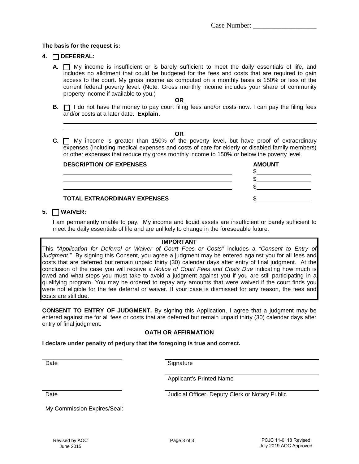#### **The basis for the request is:**

#### **4.** [ ] **DEFERRAL:**

**A.**  $\Box$  My income is insufficient or is barely sufficient to meet the daily essentials of life, and includes no allotment that could be budgeted for the fees and costs that are required to gain access to the court. My gross income as computed on a monthly basis is 150% or less of the current federal poverty level. (Note: Gross monthly income includes your share of community property income if available to you.)

**OR**

**B.**  $\Box$  I do not have the money to pay court filing fees and/or costs now. I can pay the filing fees and/or costs at a later date. **Explain.**

#### **OR**

**C.**  $\Box$  My income is greater than 150% of the poverty level, but have proof of extraordinary expenses (including medical expenses and costs of care for elderly or disabled family members) or other expenses that reduce my gross monthly income to 150% or below the poverty level.

| <b>DESCRIPTION OF EXPENSES</b> | <b>AMOUNT</b> |
|--------------------------------|---------------|
|                                |               |
| TOTAL EXTRAORDINARY EXPENSES   |               |

#### **5.** [ ] **WAIVER:**

I am permanently unable to pay. My income and liquid assets are insufficient or barely sufficient to meet the daily essentials of life and are unlikely to change in the foreseeable future.

#### **IMPORTANT**

This *"Application for Deferral or Waiver of Court Fees or Costs"* includes a *"Consent to Entry of* Judgment." By signing this Consent, you agree a judgment may be entered against you for all fees and costs that are deferred but remain unpaid thirty (30) calendar days after entry of final judgment. At the conclusion of the case you will receive a *Notice of Court Fees and Costs Due* indicating how much is owed and what steps you must take to avoid a judgment against you if you are still participating in a qualifying program. You may be ordered to repay any amounts that were waived if the court finds you were not eligible for the fee deferral or waiver. If your case is dismissed for any reason, the fees and costs are still due.

**CONSENT TO ENTRY OF JUDGMENT.** By signing this Application, I agree that a judgment may be entered against me for all fees or costs that are deferred but remain unpaid thirty (30) calendar days after entry of final judgment.

#### **OATH OR AFFIRMATION**

**I declare under penalty of perjury that the foregoing is true and correct.**

Date Signature

Applicant's Printed Name

Date **Date** Judicial Officer, Deputy Clerk or Notary Public

My Commission Expires/Seal: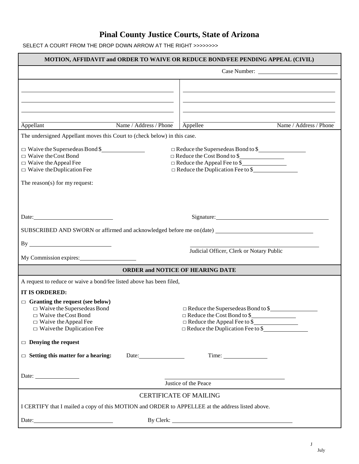SELECT A COURT FROM THE DROP DOWN ARROW AT THE RIGHT >>>>>>>>

| MOTION, AFFIDAVIT and ORDER TO WAIVE OR REDUCE BOND/FEE PENDING APPEAL (CIVIL)                       |                        |                                                                               |                        |
|------------------------------------------------------------------------------------------------------|------------------------|-------------------------------------------------------------------------------|------------------------|
|                                                                                                      |                        |                                                                               |                        |
|                                                                                                      |                        |                                                                               |                        |
|                                                                                                      |                        |                                                                               |                        |
|                                                                                                      |                        |                                                                               |                        |
|                                                                                                      | Name / Address / Phone | Appellee                                                                      | Name / Address / Phone |
| Appellant<br>The undersigned Appellant moves this Court to (check below) in this case.               |                        |                                                                               |                        |
|                                                                                                      |                        |                                                                               |                        |
| $\Box$ Waive the Supersedeas Bond \$<br>$\Box$ Waive the Cost Bond                                   |                        | Reduce the Supersedeas Bond to \$<br>$\Box$ Reduce the Cost Bond to \$        |                        |
| $\Box$ Waive the Appeal Fee                                                                          |                        | $\Box$ Reduce the Appeal Fee to \$                                            |                        |
| $\Box$ Waive the Duplication Fee                                                                     |                        | $\Box$ Reduce the Duplication Fee to \$                                       |                        |
| The reason(s) for my request:                                                                        |                        |                                                                               |                        |
|                                                                                                      |                        |                                                                               |                        |
|                                                                                                      |                        |                                                                               |                        |
|                                                                                                      |                        |                                                                               |                        |
|                                                                                                      |                        |                                                                               |                        |
| SUBSCRIBED AND SWORN or affirmed and acknowledged before me on(date) _______________________________ |                        |                                                                               |                        |
| By                                                                                                   |                        | Judicial Officer, Clerk or Notary Public                                      |                        |
| My Commission expires:                                                                               |                        |                                                                               |                        |
|                                                                                                      |                        | <b>ORDER and NOTICE OF HEARING DATE</b>                                       |                        |
| A request to reduce or waive a bond/fee listed above has been filed,                                 |                        |                                                                               |                        |
| IT IS ORDERED:                                                                                       |                        |                                                                               |                        |
| $\Box$ Granting the request (see below)                                                              |                        |                                                                               |                        |
| $\Box$ Waive the Supersedeas Bond<br>$\Box$ Waive the Cost Bond                                      |                        | $\Box$ Reduce the Supersedeas Bond to \$<br>$\Box$ Reduce the Cost Bond to \$ |                        |
| $\Box$ Waive the Appeal Fee                                                                          |                        | $\Box$ Reduce the Appeal Fee to \$                                            |                        |
| $\Box$ Waive the Duplication Fee                                                                     |                        | $\Box$ Reduce the Duplication Fee to \$                                       |                        |
| $\Box$ Denying the request                                                                           |                        |                                                                               |                        |
| $\Box$ Setting this matter for a hearing:                                                            | Date:                  |                                                                               |                        |
|                                                                                                      |                        |                                                                               |                        |
| Date: $\_\_\_\_\_\_\_\_\_\_\_\_\_\_\_\_$                                                             |                        | <u> 1989 - Johann Barn, amerikansk politiker (</u>                            |                        |
|                                                                                                      |                        | Justice of the Peace                                                          |                        |
|                                                                                                      |                        | <b>CERTIFICATE OF MAILING</b>                                                 |                        |
| I CERTIFY that I mailed a copy of this MOTION and ORDER to APPELLEE at the address listed above.     |                        |                                                                               |                        |
| Date:                                                                                                |                        |                                                                               |                        |

 $\bf J$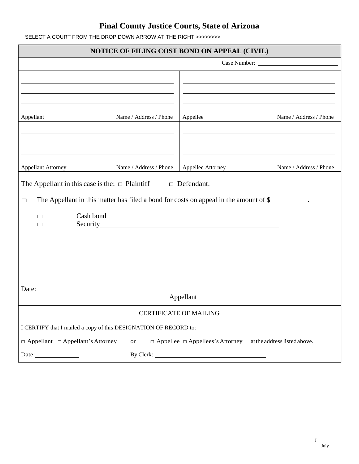SELECT A COURT FROM THE DROP DOWN ARROW AT THE RIGHT >>>>>>>>

| NOTICE OF FILING COST BOND ON APPEAL (CIVIL)                                                                                                                                                       |                        |                                                                                                                                                                                                                                |                              |  |
|----------------------------------------------------------------------------------------------------------------------------------------------------------------------------------------------------|------------------------|--------------------------------------------------------------------------------------------------------------------------------------------------------------------------------------------------------------------------------|------------------------------|--|
|                                                                                                                                                                                                    |                        |                                                                                                                                                                                                                                |                              |  |
| Appellant                                                                                                                                                                                          | Name / Address / Phone | Appellee                                                                                                                                                                                                                       | Name / Address / Phone       |  |
| <b>Appellant Attorney</b>                                                                                                                                                                          | Name / Address / Phone | Appellee Attorney                                                                                                                                                                                                              | Name / Address / Phone       |  |
| The Appellant in this case is the: $\Box$ Plaintiff<br>$\Box$ Defendant.<br>The Appellant in this matter has filed a bond for costs on appeal in the amount of \$<br>$\Box$<br>Cash bond<br>$\Box$ |                        |                                                                                                                                                                                                                                |                              |  |
| □                                                                                                                                                                                                  |                        | Security Security Security Security Security Security Security Security Security Security Security Security Security Security Security Security Security Security Security Security Security Security Security Security Securi |                              |  |
|                                                                                                                                                                                                    |                        | Appellant                                                                                                                                                                                                                      |                              |  |
|                                                                                                                                                                                                    |                        | <b>CERTIFICATE OF MAILING</b>                                                                                                                                                                                                  |                              |  |
| I CERTIFY that I mailed a copy of this DESIGNATION OF RECORD to:                                                                                                                                   |                        |                                                                                                                                                                                                                                |                              |  |
| $\Box$ Appellant $\Box$ Appellant's Attorney                                                                                                                                                       | <b>or</b>              | $\Box$ Appellee $\Box$ Appellees's Attorney                                                                                                                                                                                    | at the address listed above. |  |
| Date:                                                                                                                                                                                              |                        |                                                                                                                                                                                                                                |                              |  |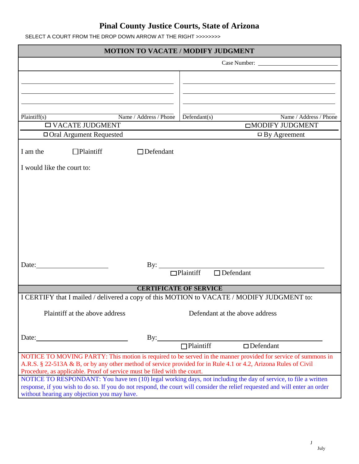| SELECT A COURT FROM THE DROP DOWN ARROW AT THE RIGHT >>>>>>>> |  |
|---------------------------------------------------------------|--|

| <b>MOTION TO VACATE / MODIFY JUDGMENT</b>                                                                                                                                                                                                      |                                                                                           |  |
|------------------------------------------------------------------------------------------------------------------------------------------------------------------------------------------------------------------------------------------------|-------------------------------------------------------------------------------------------|--|
| Case Number:                                                                                                                                                                                                                                   |                                                                                           |  |
|                                                                                                                                                                                                                                                |                                                                                           |  |
|                                                                                                                                                                                                                                                |                                                                                           |  |
|                                                                                                                                                                                                                                                |                                                                                           |  |
|                                                                                                                                                                                                                                                |                                                                                           |  |
| Plaintiff(s)<br>Name / Address / Phone                                                                                                                                                                                                         | $\overline{\text{Defendant}(s)}$<br>Name / Address / Phone                                |  |
| $\square$ VACATE JUDGMENT                                                                                                                                                                                                                      | <b>IMODIFY JUDGMENT</b>                                                                   |  |
| □ Oral Argument Requested                                                                                                                                                                                                                      | $\Box$ By Agreement                                                                       |  |
| I am the<br>$\Box$ Plaintiff<br>$\Box$ Defendant                                                                                                                                                                                               |                                                                                           |  |
|                                                                                                                                                                                                                                                |                                                                                           |  |
| I would like the court to:                                                                                                                                                                                                                     |                                                                                           |  |
|                                                                                                                                                                                                                                                |                                                                                           |  |
|                                                                                                                                                                                                                                                |                                                                                           |  |
|                                                                                                                                                                                                                                                |                                                                                           |  |
|                                                                                                                                                                                                                                                |                                                                                           |  |
|                                                                                                                                                                                                                                                |                                                                                           |  |
|                                                                                                                                                                                                                                                |                                                                                           |  |
|                                                                                                                                                                                                                                                |                                                                                           |  |
|                                                                                                                                                                                                                                                |                                                                                           |  |
| Date:                                                                                                                                                                                                                                          | $\mathbf{By:}$                                                                            |  |
|                                                                                                                                                                                                                                                | $\Box$ Plaintiff<br>$\Box$ Defendant                                                      |  |
|                                                                                                                                                                                                                                                | <b>CERTIFICATE OF SERVICE</b>                                                             |  |
|                                                                                                                                                                                                                                                | I CERTIFY that I mailed / delivered a copy of this MOTION to VACATE / MODIFY JUDGMENT to: |  |
|                                                                                                                                                                                                                                                |                                                                                           |  |
| Plaintiff at the above address                                                                                                                                                                                                                 | Defendant at the above address                                                            |  |
|                                                                                                                                                                                                                                                |                                                                                           |  |
| Date:                                                                                                                                                                                                                                          | By: $\qquad \qquad$                                                                       |  |
|                                                                                                                                                                                                                                                | $\Box$ Plaintiff<br>$\Box$ Defendant                                                      |  |
| NOTICE TO MOVING PARTY: This motion is required to be served in the manner provided for service of summons in<br>A.R.S. § 22-513A & B, or by any other method of service provided for in Rule 4.1 or 4.2, Arizona Rules of Civil               |                                                                                           |  |
| Procedure, as applicable. Proof of service must be filed with the court.                                                                                                                                                                       |                                                                                           |  |
| NOTICE TO RESPONDANT: You have ten (10) legal working days, not including the day of service, to file a written<br>response, if you wish to do so. If you do not respond, the court will consider the relief requested and will enter an order |                                                                                           |  |
| without hearing any objection you may have.                                                                                                                                                                                                    |                                                                                           |  |

 $\bf J$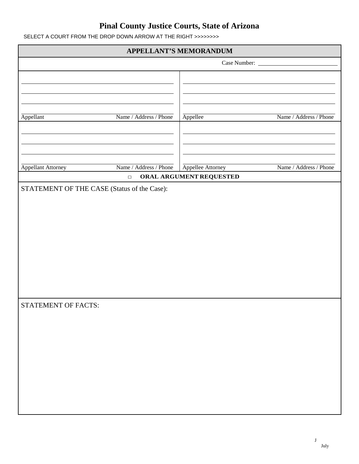SELECT A COURT FROM THE DROP DOWN ARROW AT THE RIGHT >>>>>>>>

| APPELLANT'S MEMORANDUM                      |                        |                         |                        |  |
|---------------------------------------------|------------------------|-------------------------|------------------------|--|
|                                             |                        | Case Number:            |                        |  |
|                                             |                        |                         |                        |  |
|                                             |                        |                         |                        |  |
|                                             |                        |                         |                        |  |
|                                             |                        |                         |                        |  |
| Appellant                                   | Name / Address / Phone | Appellee                | Name / Address / Phone |  |
|                                             |                        |                         |                        |  |
|                                             |                        |                         |                        |  |
|                                             |                        |                         |                        |  |
| Appellant Attorney                          | Name / Address / Phone | Appellee Attorney       | Name / Address / Phone |  |
|                                             | $\Box$                 | ORAL ARGUMENT REQUESTED |                        |  |
| STATEMENT OF THE CASE (Status of the Case): |                        |                         |                        |  |
|                                             |                        |                         |                        |  |
|                                             |                        |                         |                        |  |
|                                             |                        |                         |                        |  |
|                                             |                        |                         |                        |  |
|                                             |                        |                         |                        |  |
|                                             |                        |                         |                        |  |
|                                             |                        |                         |                        |  |
|                                             |                        |                         |                        |  |
|                                             |                        |                         |                        |  |
| STATEMENT OF FACTS:                         |                        |                         |                        |  |
|                                             |                        |                         |                        |  |
|                                             |                        |                         |                        |  |
|                                             |                        |                         |                        |  |
|                                             |                        |                         |                        |  |
|                                             |                        |                         |                        |  |
|                                             |                        |                         |                        |  |
|                                             |                        |                         |                        |  |
|                                             |                        |                         |                        |  |
|                                             |                        |                         |                        |  |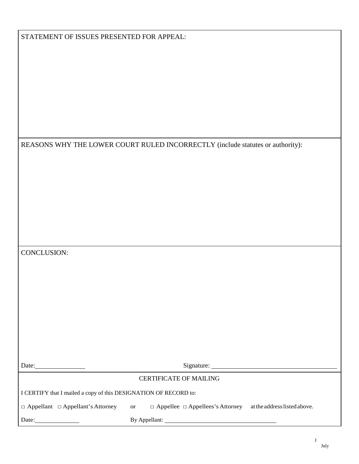#### REASONS WHY THE LOWER COURT RULED INCORRECTLY (include statutes or authority):

| CONCLUSION: |  |
|-------------|--|
|-------------|--|

Date: Signature: Signature:

#### CERTIFICATE OF MAILING

I CERTIFY that I mailed a copy of this DESIGNATION OF RECORD to:

□ Appellant □ Appellant's Attorney or □ Appellee □ Appellees's Attorney atthe addresslistedabove.

Date: By Appellant: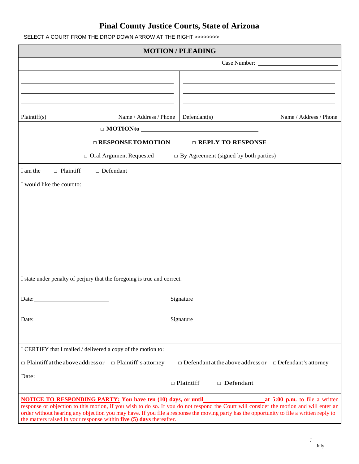SELECT A COURT FROM THE DROP DOWN ARROW AT THE RIGHT >>>>>>>>

| <b>MOTION/PLEADING</b>                                                   |                                                                                                                                          |  |
|--------------------------------------------------------------------------|------------------------------------------------------------------------------------------------------------------------------------------|--|
|                                                                          | Case Number:                                                                                                                             |  |
|                                                                          |                                                                                                                                          |  |
|                                                                          |                                                                                                                                          |  |
|                                                                          |                                                                                                                                          |  |
|                                                                          |                                                                                                                                          |  |
| $\overline{\text{Plaintiff}}(s)$<br>Name / Address / Phone               | $\overline{\text{Defendant}(s)}$<br>Name / Address / Phone                                                                               |  |
|                                                                          |                                                                                                                                          |  |
| <b>E RESPONSE TOMOTION</b>                                               | $\Box$ REPLY TO RESPONSE                                                                                                                 |  |
| $\Box$ Oral Argument Requested                                           | $\Box$ By Agreement (signed by both parties)                                                                                             |  |
| $\Box$ Plaintiff<br>$\Box$ Defendant<br>I am the                         |                                                                                                                                          |  |
| I would like the court to:                                               |                                                                                                                                          |  |
|                                                                          |                                                                                                                                          |  |
|                                                                          |                                                                                                                                          |  |
|                                                                          |                                                                                                                                          |  |
|                                                                          |                                                                                                                                          |  |
|                                                                          |                                                                                                                                          |  |
|                                                                          |                                                                                                                                          |  |
|                                                                          |                                                                                                                                          |  |
|                                                                          |                                                                                                                                          |  |
| I state under penalty of perjury that the foregoing is true and correct. |                                                                                                                                          |  |
|                                                                          |                                                                                                                                          |  |
| <u> 1990 - Johann Barbara, martin a</u><br>Date:                         | Signature                                                                                                                                |  |
| Date:                                                                    | Signature                                                                                                                                |  |
|                                                                          |                                                                                                                                          |  |
|                                                                          |                                                                                                                                          |  |
| I CERTIFY that I mailed / delivered a copy of the motion to:             |                                                                                                                                          |  |
| $\Box$ Plaintiff at the above address or $\Box$ Plaintiff's attorney     | $\Box$ Defendant at the above address or $\Box$ Defendant's attorney                                                                     |  |
| Date: $\qquad \qquad$                                                    |                                                                                                                                          |  |
|                                                                          | $\Box$ Plaintiff<br>$\Box$ Defendant                                                                                                     |  |
|                                                                          | <b>NOTICE TO RESPONDING PARTY:</b> You have ten (10) days, or until <b>the analysis of the contract of the contract of the a</b> written |  |
|                                                                          | response or objection to this motion, if you wish to do so. If you do not respond the Court will consider the motion and will enter an   |  |
| the matters raised in your response within five (5) days thereafter.     | order without hearing any objection you may have. If you file a response the moving party has the opportunity to file a written reply to |  |

 ${\bf J}$